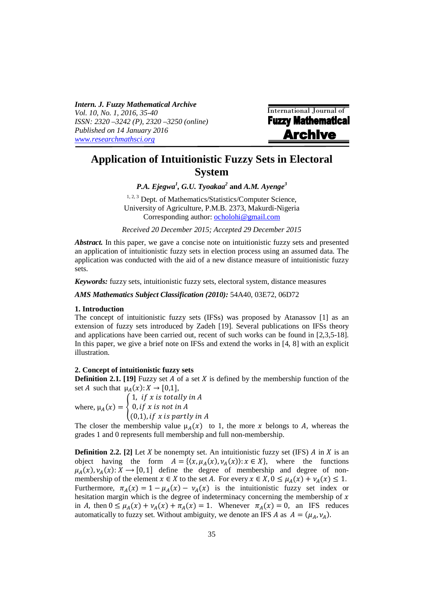*Intern. J. Fuzzy Mathematical Archive Vol. 10, No. 1, 2016, 35-40 ISSN: 2320 –3242 (P), 2320 –3250 (online) Published on 14 January 2016 www.researchmathsci.org*

International Journal of **Fuzzy Mathematical Archive** 

# **Application of Intuitionistic Fuzzy Sets in Electoral System**

*P.A. Ejegwa<sup>1</sup> , G.U. Tyoakaa<sup>2</sup>* **and** *A.M. Ayenge<sup>3</sup>*

<sup>1, 2, 3</sup> Dept. of Mathematics/Statistics/Computer Science, University of Agriculture, P.M.B. 2373, Makurdi-Nigeria Corresponding author: ocholohi@gmail.com

*Received 20 December 2015; Accepted 29 December 2015* 

*Abstract.* In this paper, we gave a concise note on intuitionistic fuzzy sets and presented an application of intuitionistic fuzzy sets in election process using an assumed data. The application was conducted with the aid of a new distance measure of intuitionistic fuzzy sets.

*Keywords:* fuzzy sets, intuitionistic fuzzy sets, electoral system, distance measures

*AMS Mathematics Subject Classification (2010):* 54A40, 03E72, 06D72

## **1. Introduction**

The concept of intuitionistic fuzzy sets (IFSs) was proposed by Atanassov [1] as an extension of fuzzy sets introduced by Zadeh [19]. Several publications on IFSs theory and applications have been carried out, recent of such works can be found in [2,3,5-18]. In this paper, we give a brief note on IFSs and extend the works in [4, 8] with an explicit illustration.

# **2. Concept of intuitionistic fuzzy sets**

**Definition 2.1.** [19] Fuzzy set  $A$  of a set  $X$  is defined by the membership function of the set A such that  $\mu_A(x): X \to [0,1],$ 

where,  $\mu_A(x) = \{$ 1, if x is totally in  $A$ 0, if  $x$  is not in A  $(0,1)$ , if x is partly in A

The closer the membership value  $\mu_A(x)$  to 1, the more x belongs to A, whereas the grades 1 and 0 represents full membership and full non-membership.

**Definition 2.2.** [2] Let X be nonempty set. An intuitionistic fuzzy set (IFS)  $\vec{A}$  in  $\vec{X}$  is an object having the form  $A = \{ (x, \mu_A(x), \nu_A(x)) : x \in X \}$ , where the functions  $\mu_A(x), \nu_A(x): X \to [0, 1]$  define the degree of membership and degree of nonmembership of the element  $x \in X$  to the set A. For every  $x \in X$ ,  $0 \le \mu_A(x) + \nu_A(x) \le 1$ . Furthermore,  $\pi_A(x) = 1 - \mu_A(x) - \nu_A(x)$  is the intuitionistic fuzzy set index or hesitation margin which is the degree of indeterminacy concerning the membership of  $x$ in A, then  $0 \leq \mu_A(x) + \nu_A(x) + \pi_A(x) = 1$ . Whenever  $\pi_A(x) = 0$ , an IFS reduces automatically to fuzzy set. Without ambiguity, we denote an IFS A as  $A = (\mu_A, \nu_A)$ .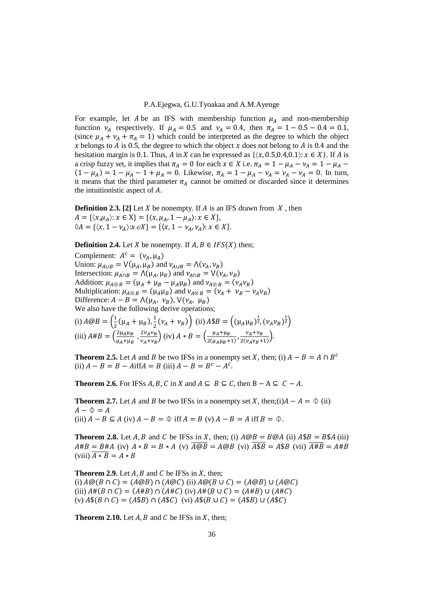#### P.A.Ejegwa, G.U.Tyoakaa and A.M.Ayenge

For example, let A be an IFS with membership function  $\mu_A$  and non-membership function  $v_A$  respectively. If  $\mu_A = 0.5$  and  $v_A = 0.4$ , then  $\pi_A = 1 - 0.5 - 0.4 = 0.1$ , (since  $\mu_A + \nu_A + \pi_A = 1$ ) which could be interpreted as the degree to which the object x belongs to  $\vec{A}$  is 0.5, the degree to which the object x does not belong to  $\vec{A}$  is 0.4 and the hesitation margin is 0.1. Thus, A in X can be expressed as  $\{(x, 0.5, 0.4, 0.1): x \in X\}$ . If A is a crisp fuzzy set, it implies that  $\pi_A = 0$  for each  $x \in X$  i.e.  $\pi_A = 1 - \mu_A - \nu_A = 1 - \mu_A - \nu_B$  $(1 - \mu_A) = 1 - \mu_A - 1 + \mu_A = 0$ . Likewise,  $\pi_A = 1 - \mu_A - \nu_A = \nu_A - \nu_A = 0$ . In turn, it means that the third parameter  $\pi_A$  cannot be omitted or discarded since it determines the intuitionistic aspect of  $A$ .

**Definition 2.3.** [2] Let  $X$  be nonempty. If  $A$  is an IFS drawn from  $X$ , then  $A = \{ \langle x, \mu_A \rangle : x \in X \} = \{ \langle x, \mu_A, 1 - \mu_A \rangle : x \in X \},\$  $\Diamond A = \{ \langle x, 1 - \nu_A \rangle : x \in X \} = \{ \langle x, 1 - \nu_A, \nu_A \rangle : x \in X \}.$ 

**Definition 2.4.** Let X be nonempty. If  $A, B \in IFS(X)$  then;

Complement:  $A^c = (\nu_A, \mu_A)$ Union:  $\mu_{A \cup B} = V(\mu_A, \mu_B)$  and  $\nu_{A \cup B} = \Lambda(\nu_A, \nu_B)$ Intersection:  $\mu_{A \cap B} = \Lambda(\mu_A, \mu_B)$  and  $\nu_{A \cap B} = \nu(\nu_A, \nu_B)$ Addition:  $\mu_{A \oplus B} = (\mu_A + \mu_B - \mu_A \mu_B)$  and  $\nu_{A \oplus B} = (\nu_A \nu_B)$ Multiplication:  $\mu_{A \otimes B} = (\mu_A \mu_B)$  and  $\nu_{A \otimes B} = (\nu_A + \nu_B - \nu_A \nu_B)$ Difference:  $A - B = \Lambda(\mu_A, \nu_B)$ ,  $V(\nu_A, \mu_B)$ We also have the following derive operations; (i)  $A \textcircled{a} B = \left(\frac{1}{2}\right)$  $\frac{1}{2}(\mu_A + \mu_B), \frac{1}{2}$  $\frac{1}{2}(\nu_A + \nu_B)$  (ii)  $A \$ B = ((\mu_A \mu_B)^{\frac{1}{2}}, (\nu_A \nu_B)^{\frac{1}{2}})$ (iii)  $A#B = \left(\frac{2\mu_A \mu_B}{\mu_A + \mu_B}\right)$  $\frac{2\mu_A\mu_B}{\mu_A+\mu_B}$ ,  $\frac{2\nu_A\nu_B}{\nu_A+\nu_B}$  $\left(\frac{2v_Av_B}{v_A+v_B}\right)$  (iv)  $A * B = \left(\frac{\mu_A+\mu_B}{2(\mu_A\mu_B+\mu_B)}\right)$  $\frac{\mu_A + \mu_B}{2(\mu_A \mu_B + 1)}, \frac{\nu_A + \nu_B}{2(\nu_A \nu_B + 1)}$  $\frac{\overline{G}}{2(\nu_A \nu_B+1)}$ .

**Theorem 2.5.** Let *A* and *B* be two IFSs in a nonempty set *X*, then; (i)  $A - B = A \cap B^c$ (ii)  $A - B = B - A$ iff $A = B$  (iii)  $A - B = B^c - A^c$ .

**Theorem 2.6.** For IFSs  $A, B, C$  in  $X$  and  $A \subseteq B \subseteq C$ , then  $B - A \subseteq C - A$ .

**Theorem 2.7.** Let *A* and *B* be two IFSs in a nonempty set *X*, then;(i) $A - A = \Phi$  (ii)  $A - \Phi = A$ (iii)  $A - B \subseteq A$  (iv)  $A - B = \emptyset$  iff  $A = B$  (v)  $A - B = A$  iff  $B = \emptyset$ .

**Theorem 2.8.** Let A, B and C be IFSs in X, then; (i)  $A \otimes B = B \otimes A$  (ii)  $A \otimes B = B \otimes A$  (iii)  $A\#B = B\#A$  (iv)  $A * B = B * A$  (v)  $\overline{A \otimes B} = A \otimes B$  (vi)  $\overline{A \otimes B} = A \otimes B$  (vii)  $\overline{A \# B} = A \# B$ (viii)  $\overline{A*B} = A*B$ 

**Theorem 2.9.** Let  $A$ ,  $B$  and  $C$  be IFSs in  $X$ , then; (i)  $A@(B \cap C) = (A@B) \cap (A@C)$  (ii)  $A@(B \cup C) = (A@B) \cup (A@C)$ (iii)  $A#(B \cap C) = (A#B) \cap (A#C)$  (iv)  $A#(B \cup C) = (A#B) \cup (A#C)$ (v)  $A\$(B \cap C) = (A\$B) \cap (A\$(C)$  (vi)  $A\$(B \cup C) = (A\$B) \cup (A\$(C)$ 

**Theorem 2.10.** Let  $A$ ,  $B$  and  $C$  be IFSs in  $X$ , then;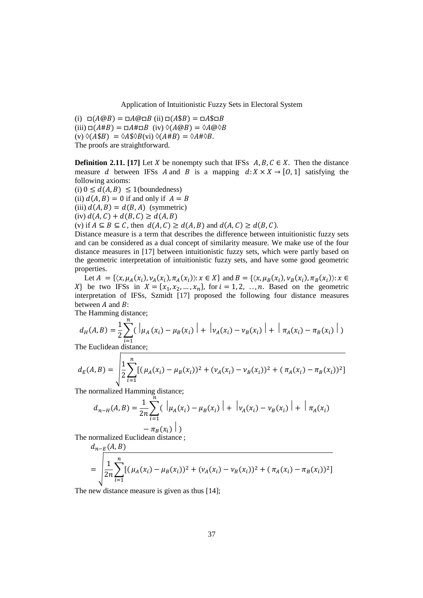Application of Intuitionistic Fuzzy Sets in Electoral System

 $(i) \Box(A \textcircled{a} B) = \Box A \textcircled{a} \Box B$  (ii)  $\Box(A \textcircled{b} B) = \Box A \textcircled{b} \Box B$ (iii)  $\Box(A \# B) = \Box A \# \Box B$  (iv)  $\Diamond (A \textcircled{\theta} B) = \Diamond A \textcircled{\theta} \Diamond B$ (v)  $\Diamond$ (A\$B) =  $\Diamond$ A\$ $\Diamond$ B(vi)  $\Diamond$ (A#B) =  $\Diamond$ A# $\Diamond$ B. The proofs are straightforward.

**Definition 2.11.** [17] Let X be nonempty such that IFSs  $A, B, C \in X$ . Then the distance measure d between IFSs A and B is a mapping  $d: X \times X \rightarrow [0, 1]$  satisfying the following axioms:

(i)  $0 \le d(A, B) \le 1$ (boundedness) (ii)  $d(A, B) = 0$  if and only if  $A = B$ (iii)  $d(A, B) = d(B, A)$  (symmetric) (iv)  $d(A, C) + d(B, C) \geq d(A, B)$ (v) if  $A \subseteq B \subseteq C$ , then  $d(A, C) \ge d(A, B)$  and  $d(A, C) \ge d(B, C)$ .

Distance measure is a term that describes the difference between intuitionistic fuzzy sets and can be considered as a dual concept of similarity measure*.* We make use of the four distance measures in [17] between intuitionistic fuzzy sets, which were partly based on the geometric interpretation of intuitionistic fuzzy sets, and have some good geometric properties.

Let  $A = \{ \langle x, \mu_A(x_i), \nu_A(x_i), \pi_A(x_i) \rangle : x \in X \}$  and  $B = \{ \langle x, \mu_B(x_i), \nu_B(x_i), \pi_B(x_i) \rangle : x \in X \}$ X be two IFSs in  $X = \{x_1, x_2, ..., x_n\}$ , for  $i = 1, 2, ..., n$ . Based on the geometric interpretation of IFSs, Szmidt [17] proposed the following four distance measures between  $A$  and  $B$ :

The Hamming distance;

$$
d_H(A, B) = \frac{1}{2} \sum_{i=1}^{n} (\left| \mu_A(x_i) - \mu_B(x_i) \right| + \left| \nu_A(x_i) - \nu_B(x_i) \right| + \left| \pi_A(x_i) - \pi_B(x_i) \right|)
$$
  
The Euclidean distance;

$$
d_E(A, B) = \sqrt{\frac{1}{2} \sum_{i=1}^n \left[ (\mu_A(x_i) - \mu_B(x_i))^2 + (\nu_A(x_i) - \nu_B(x_i))^2 + (\pi_A(x_i) - \pi_B(x_i))^2 \right]}
$$

The normalized Hamming distance;

$$
d_{n-H}(A,B) = \frac{1}{2n} \sum_{i=1}^{n} (\left| \mu_A(x_i) - \mu_B(x_i) \right| + \left| \nu_A(x_i) - \nu_B(x_i) \right| + \left| \pi_A(x_i) - \pi_B(x_i) \right|)
$$

The normalized Euclidean distance ;  $P$   $(AB)$ 

$$
u_{n-F}(A, B)
$$
  
= 
$$
\sqrt{\frac{1}{2n} \sum_{i=1}^{n} [(\mu_A(x_i) - \mu_B(x_i))^2 + (\nu_A(x_i) - \nu_B(x_i))^2 + (\pi_A(x_i) - \pi_B(x_i))^2]}
$$

The new distance measure is given as thus [14];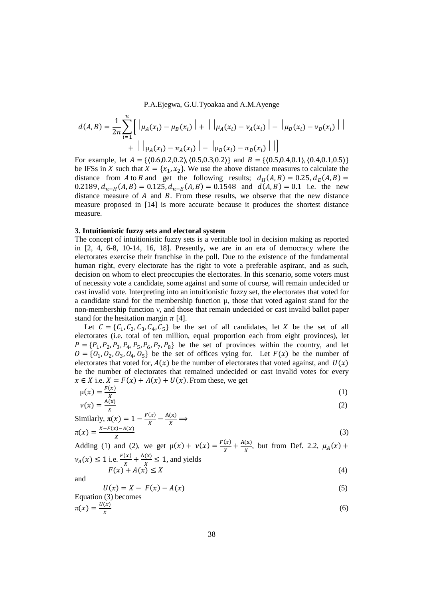P.A.Ejegwa, G.U.Tyoakaa and A.M.Ayenge

$$
d(A, B) = \frac{1}{2n} \sum_{i=1}^{n} \left[ \left| \mu_A(x_i) - \mu_B(x_i) \right| + \left| \left| \mu_A(x_i) - \nu_A(x_i) \right| - \left| \mu_B(x_i) - \nu_B(x_i) \right| \right| \right] + \left| \left| \mu_A(x_i) - \pi_A(x_i) \right| - \left| \mu_B(x_i) - \pi_B(x_i) \right| \right| \right]
$$

For example, let  $A = \{(0.6, 0.2, 0.2), (0.5, 0.3, 0.2)\}\$  and  $B = \{(0.5, 0.4, 0.1), (0.4, 0.1, 0.5)\}\$ be IFSs in X such that  $X = \{x_1, x_2\}$ . We use the above distance measures to calculate the distance from A to B and get the following results;  $d_H(A, B) = 0.25, d_E(A, B) = 0.25$ 0.2189,  $d_{n-H}(A, B) = 0.125$ ,  $d_{n-E}(A, B) = 0.1548$  and  $d(A, B) = 0.1$  i.e. the new distance measure of  $A$  and  $B$ . From these results, we observe that the new distance measure proposed in [14] is more accurate because it produces the shortest distance measure.

#### **3. Intuitionistic fuzzy sets and electoral system**

The concept of intuitionistic fuzzy sets is a veritable tool in decision making as reported in [2, 4, 6-8, 10-14, 16, 18]. Presently, we are in an era of democracy where the electorates exercise their franchise in the poll. Due to the existence of the fundamental human right, every electorate has the right to vote a preferable aspirant, and as such, decision on whom to elect preoccupies the electorates. In this scenario, some voters must of necessity vote a candidate, some against and some of course, will remain undecided or cast invalid vote. Interpreting into an intuitionistic fuzzy set, the electorates that voted for a candidate stand for the membership function  $\mu$ , those that voted against stand for the non-membership function ν, and those that remain undecided or cast invalid ballot paper stand for the hesitation margin  $\pi$  [4].

Let  $C = \{C_1, C_2, C_3, C_4, C_5\}$  be the set of all candidates, let X be the set of all electorates (i.e. total of ten million, equal proportion each from eight provinces), let  $P = \{P_1, P_2, P_3, P_4, P_5, P_6, P_7, P_8\}$  be the set of provinces within the country, and let  $0 = \{0_1, 0_2, 0_3, 0_4, 0_5\}$  be the set of offices vying for. Let  $F(x)$  be the number of electorates that voted for,  $A(x)$  be the number of electorates that voted against, and  $U(x)$ be the number of electorates that remained undecided or cast invalid votes for every  $x \in X$  i.e.  $X = F(x) + A(x) + U(x)$ . From these, we get

$$
\mu(x) = \frac{F(x)}{x}
$$
 (1)

$$
\nu(x) = \frac{A(x)}{x}
$$
  
Similarly,  $\pi(x) = 1 - \frac{F(x)}{x} - \frac{A(x)}{x} \implies$  (2)

Similarly, 
$$
\pi(x) = 1 - \frac{\pi}{x} - \frac{\pi}{x} \implies \pi(x) = \frac{x - F(x) - A(x)}{x}
$$
 (3)

Adding (1) and (2), we get  $\mu(x) + \nu(x) = \frac{F(x)}{x}$  $\frac{f(x)}{x} + \frac{A(x)}{x}$  $\frac{d(x)}{dx}$ , but from Def. 2.2,  $\mu_A(x)$  +  $v_A(x) \le 1$  i.e.  $\frac{F(x)}{x} + \frac{A(x)}{x}$  $\frac{f(x)}{x} \le 1$ , and yields

$$
F(x) + A(x) \le X \tag{4}
$$

$$
U(x) = X - F(x) - A(x)
$$
\nEquation (3) becomes

\n
$$
U(x) = 1 - F(x) - A(x)
$$
\n(5)

$$
\pi(x) = \frac{u(x)}{x} \tag{6}
$$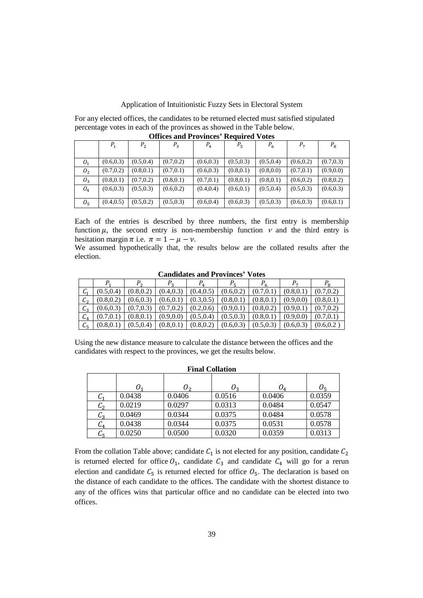# Application of Intuitionistic Fuzzy Sets in Electoral System

For any elected offices, the candidates to be returned elected must satisfied stipulated percentage votes in each of the provinces as showed in the Table below. **Offices and Provinces' Required Votes** 

|                | $P_1$      | P <sub>2</sub> | $P_3$      | $P_4$      | $P_5$      | $P_6$      | $P_7$      | $P_8$      |
|----------------|------------|----------------|------------|------------|------------|------------|------------|------------|
|                |            |                |            |            |            |            |            |            |
| O <sub>1</sub> | (0.6, 0.3) | (0.5, 0.4)     | (0.7, 0.2) | (0.6, 0.3) | (0.5, 0.3) | (0.5, 0.4) | (0.6, 0.2) | (0.7, 0.3) |
| O <sub>2</sub> | (0.7, 0.2) | (0.8, 0.1)     | (0.7, 0.1) | (0.6, 0.3) | (0.8, 0.1) | (0.8, 0.0) | (0.7, 0.1) | (0.9, 0.0) |
| $O_3$          | (0.8, 0.1) | (0.7, 0.2)     | (0.8, 0.1) | (0.7, 0.1) | (0.8, 0.1) | (0.8, 0.1) | (0.6, 0.2) | (0.8, 0.2) |
| $O_4$          | (0.6, 0.3) | (0.5, 0.3)     | (0.6, 0.2) | (0.4, 0.4) | (0.6, 0.1) | (0.5, 0.4) | (0.5, 0.3) | (0.6, 0.3) |
| O <sub>5</sub> | (0.4, 0.5) | (0.5, 0.2)     | (0.5, 0.3) | (0.6, 0.4) | (0.6, 0.3) | (0.5, 0.3) | (0.6, 0.3) | (0.6, 0.1) |

Each of the entries is described by three numbers, the first entry is membership function  $\mu$ , the second entry is non-membership function  $\nu$  and the third entry is hesitation margin  $\pi$  i.e.  $\pi = 1 - \mu - \nu$ .

We assumed hypothetically that, the results below are the collated results after the election.

|                  |            |            | P <sub>2</sub> |            |            |            |            | $\Omega$   |
|------------------|------------|------------|----------------|------------|------------|------------|------------|------------|
| $\mathcal{C}_1$  | (0.5.0.4)  | (0.8, 0.2) | (0.4, 0.3)     | (0.4, 0.5) | (0.6, 0.2) | (0.7, 0.1) | (0.8, 0.1) | (0.7, 0.2) |
| $\mathfrak{c}_2$ | (0.8, 0.2) | (0.6, 0.3) | (0.6, 0.1)     | (0.3, 0.5) | (0.8, 0.1) | (0.8, 0.1) | (0.9, 0.0) | (0.8, 0.1) |
| $\overline{c}_3$ | (0.6, 0.3) | (0.7, 0.3) | (0.7, 0.2)     | (0.2, 0.6) | (0.9, 0.1) | (0.8, 0.2) | (0.9, 0.1) | (0.7, 0.2) |
| $C_4$            | (0.7, 0.1) | (0.8, 0.1) | (0.9, 0.0)     | (0.5, 0.4) | (0.5, 0.3) | (0.8, 0.1) | (0.9, 0.0) | (0.7, 0.1) |
| $C_5$            | (0.8.0.1)  | (0.5, 0.4) | (0.8, 0.1)     | (0.8, 0.2) | (0.6, 0.3) | (0.5, 0.3) | (0.6, 0.3) | (0.6, 0.2) |

**Candidates and Provinces' Votes** 

Using the new distance measure to calculate the distance between the offices and the candidates with respect to the provinces, we get the results below.

| <b>Final Collation</b>     |        |        |        |        |        |  |  |  |
|----------------------------|--------|--------|--------|--------|--------|--|--|--|
|                            |        |        |        |        |        |  |  |  |
|                            |        | υ,     | υ,     | $O_4$  | Uς     |  |  |  |
| $\mathcal{C}_1$            | 0.0438 | 0.0406 | 0.0516 | 0.0406 | 0.0359 |  |  |  |
| $\mathcal{C}_2$            | 0.0219 | 0.0297 | 0.0313 | 0.0484 | 0.0547 |  |  |  |
| $C_3$                      | 0.0469 | 0.0344 | 0.0375 | 0.0484 | 0.0578 |  |  |  |
| $C_4$                      | 0.0438 | 0.0344 | 0.0375 | 0.0531 | 0.0578 |  |  |  |
| $\mathcal{C}_\preccurlyeq$ | 0.0250 | 0.0500 | 0.0320 | 0.0359 | 0.0313 |  |  |  |

From the collation Table above; candidate  $C_1$  is not elected for any position, candidate  $C_2$ is returned elected for office  $O_1$ , candidate  $C_3$  and candidate  $C_4$  will go for a rerun election and candidate  $C_5$  is returned elected for office  $O_5$ . The declaration is based on the distance of each candidate to the offices. The candidate with the shortest distance to any of the offices wins that particular office and no candidate can be elected into two offices.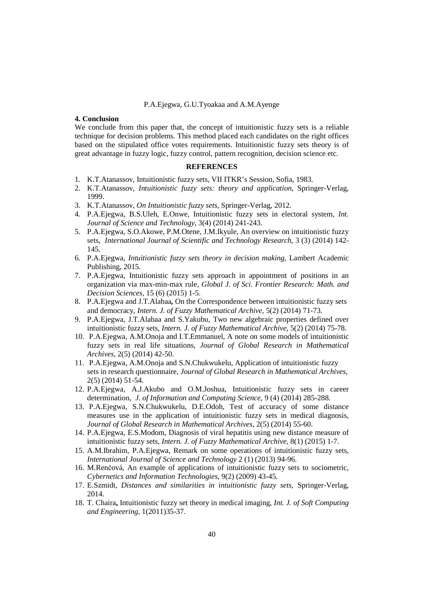## P.A.Ejegwa, G.U.Tyoakaa and A.M.Ayenge

# **4. Conclusion**

We conclude from this paper that, the concept of intuitionistic fuzzy sets is a reliable technique for decision problems. This method placed each candidates on the right offices based on the stipulated office votes requirements. Intuitionistic fuzzy sets theory is of great advantage in fuzzy logic, fuzzy control, pattern recognition, decision science etc.

## **REFERENCES**

- 1. K.T.Atanassov, Intuitionistic fuzzy sets, VII ITKR's Session, Sofia, 1983.
- 2. K.T.Atanassov, *Intuitionistic fuzzy sets: theory and application*, Springer-Verlag, 1999.
- 3. K.T.Atanassov, *On Intuitionistic fuzzy sets*, Springer-Verlag, 2012.
- 4. P.A.Ejegwa, B.S.Uleh, E.Onwe, Intuitionistic fuzzy sets in electoral system, *Int. Journal of Science and Technology,* 3(4) (2014) 241-243.
- 5. P.A.Ejegwa, S.O.Akowe, P.M.Otene, J.M.Ikyule, An overview on intuitionistic fuzzy sets, *International Journal of Scientific and Technology Research,* 3 (3) (2014) 142- 145.
- 6. P.A.Ejegwa, *Intuitionistic fuzzy sets theory in decision making*, Lambert Academic Publishing, 2015.
- 7. P.A.Ejegwa, Intuitionistic fuzzy sets approach in appointment of positions in an organization via max-min-max rule, *Global J. of Sci. Frontier Research: Math. and Decision Sciences,* 15 (6) (2015) 1-5.
- 8. P.A.Ejegwa and J.T.Alabaa*,* On the Correspondence between intuitionistic fuzzy sets and democracy, *Intern. J. of Fuzzy Mathematical Archive,* 5(2) (2014) 71-73.
- 9. P.A.Ejegwa, J.T.Alabaa and S.Yakubu, Two new algebraic properties defined over intuitionistic fuzzy sets, *Intern. J. of Fuzzy Mathematical Archive,* 5(2) (2014) 75-78.
- 10. P.A.Ejegwa, A.M.Onoja and I.T.Emmanuel, A note on some models of intuitionistic fuzzy sets in real life situations, *Journal of Global Research in Mathematical Archives,* 2(5) (2014) 42-50.
- 11. P.A.Ejegwa, A.M.Onoja and S.N.Chukwukelu, Application of intuitionistic fuzzy sets in research questionnaire, *Journal of Global Research in Mathematical Archives,*  2(5) (2014) 51-54.
- 12. P.A.Ejegwa, A.J.Akubo and O.M.Joshua, Intuitionistic fuzzy sets in career determination, *J. of Information and Computing Science,* 9 (4) (2014) 285-288.
- 13. P.A.Ejegwa, S.N.Chukwukelu, D.E.Odoh, Test of accuracy of some distance measures use in the application of intuitionistic fuzzy sets in medical diagnosis, *Journal of Global Research in Mathematical Archives,* 2(5) (2014) 55-60.
- 14. P.A.Ejegwa, E.S.Modom, Diagnosis of viral hepatitis using new distance measure of intuitionistic fuzzy sets, *Intern. J. of Fuzzy Mathematical Archive,* 8(1) (2015) 1-7.
- 15. A.M.Ibrahim, P.A.Ejegwa, Remark on some operations of intuitionistic fuzzy sets, *International Journal of Science and Technology* 2 (1) (2013) 94-96.
- 16. M.Renčová, An example of applications of intuitionistic fuzzy sets to sociometric, *Cybernetics and Information Technologies,* 9(2) (2009) 43-45.
- 17. E.Szmidt, *Distances and similarities in intuitionistic fuzzy sets*, Springer-Verlag, 2014.
- 18. T. Chaira**,** Intuitionistic fuzzy set theory in medical imaging, *Int. J. of Soft Computing and Engineering,* 1(2011)35-37.